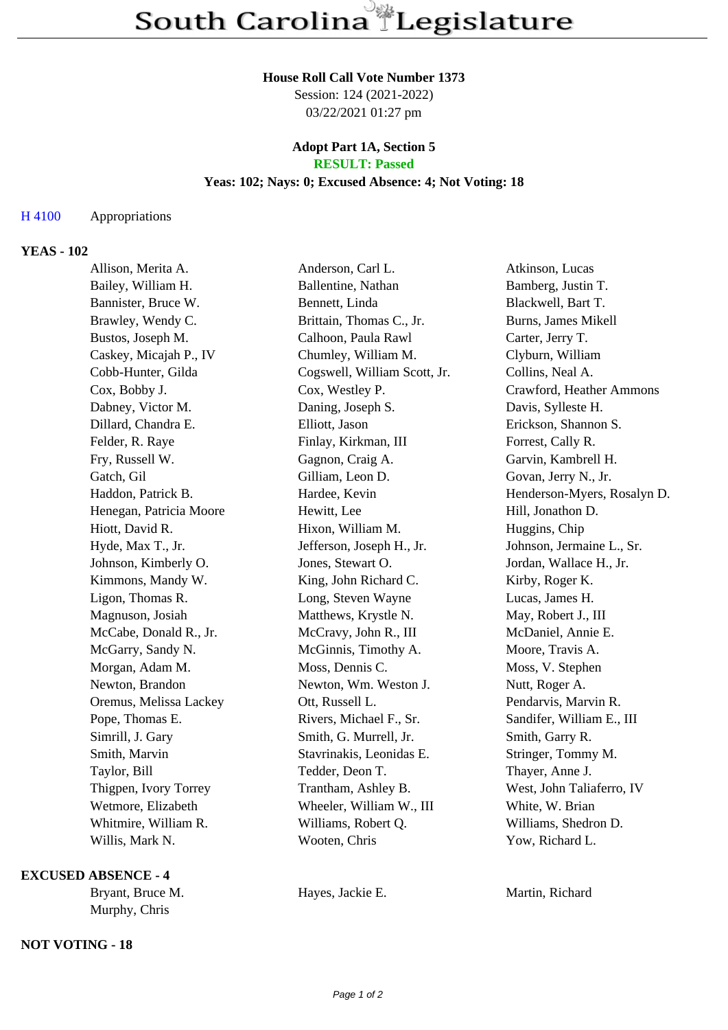### **House Roll Call Vote Number 1373**

Session: 124 (2021-2022) 03/22/2021 01:27 pm

### **Adopt Part 1A, Section 5 RESULT: Passed**

### **Yeas: 102; Nays: 0; Excused Absence: 4; Not Voting: 18**

## H 4100 Appropriations

# **YEAS - 102**

| Allison, Merita A.      | Anderson, Carl L.            | Atkinson, Lucas             |
|-------------------------|------------------------------|-----------------------------|
| Bailey, William H.      | Ballentine, Nathan           | Bamberg, Justin T.          |
| Bannister, Bruce W.     | Bennett, Linda               | Blackwell, Bart T.          |
| Brawley, Wendy C.       | Brittain, Thomas C., Jr.     | Burns, James Mikell         |
| Bustos, Joseph M.       | Calhoon, Paula Rawl          | Carter, Jerry T.            |
| Caskey, Micajah P., IV  | Chumley, William M.          | Clyburn, William            |
| Cobb-Hunter, Gilda      | Cogswell, William Scott, Jr. | Collins, Neal A.            |
| Cox, Bobby J.           | Cox, Westley P.              | Crawford, Heather Ammons    |
| Dabney, Victor M.       | Daning, Joseph S.            | Davis, Sylleste H.          |
| Dillard, Chandra E.     | Elliott, Jason               | Erickson, Shannon S.        |
| Felder, R. Raye         | Finlay, Kirkman, III         | Forrest, Cally R.           |
| Fry, Russell W.         | Gagnon, Craig A.             | Garvin, Kambrell H.         |
| Gatch, Gil              | Gilliam, Leon D.             | Govan, Jerry N., Jr.        |
| Haddon, Patrick B.      | Hardee, Kevin                | Henderson-Myers, Rosalyn D. |
| Henegan, Patricia Moore | Hewitt, Lee                  | Hill, Jonathon D.           |
| Hiott, David R.         | Hixon, William M.            | Huggins, Chip               |
| Hyde, Max T., Jr.       | Jefferson, Joseph H., Jr.    | Johnson, Jermaine L., Sr.   |
| Johnson, Kimberly O.    | Jones, Stewart O.            | Jordan, Wallace H., Jr.     |
| Kimmons, Mandy W.       | King, John Richard C.        | Kirby, Roger K.             |
| Ligon, Thomas R.        | Long, Steven Wayne           | Lucas, James H.             |
| Magnuson, Josiah        | Matthews, Krystle N.         | May, Robert J., III         |
| McCabe, Donald R., Jr.  | McCravy, John R., III        | McDaniel, Annie E.          |
| McGarry, Sandy N.       | McGinnis, Timothy A.         | Moore, Travis A.            |
| Morgan, Adam M.         | Moss, Dennis C.              | Moss, V. Stephen            |
| Newton, Brandon         | Newton, Wm. Weston J.        | Nutt, Roger A.              |
| Oremus, Melissa Lackey  | Ott, Russell L.              | Pendarvis, Marvin R.        |
| Pope, Thomas E.         | Rivers, Michael F., Sr.      | Sandifer, William E., III   |
| Simrill, J. Gary        | Smith, G. Murrell, Jr.       | Smith, Garry R.             |
| Smith, Marvin           | Stavrinakis, Leonidas E.     | Stringer, Tommy M.          |
| Taylor, Bill            | Tedder, Deon T.              | Thayer, Anne J.             |
| Thigpen, Ivory Torrey   | Trantham, Ashley B.          | West, John Taliaferro, IV   |
| Wetmore, Elizabeth      | Wheeler, William W., III     | White, W. Brian             |
| Whitmire, William R.    | Williams, Robert Q.          | Williams, Shedron D.        |
| Willis, Mark N.         | Wooten, Chris                | Yow, Richard L.             |
|                         |                              |                             |

# **EXCUSED ABSENCE - 4**

Murphy, Chris

### **NOT VOTING - 18**

Bryant, Bruce M. **Hayes, Jackie E.** Martin, Richard